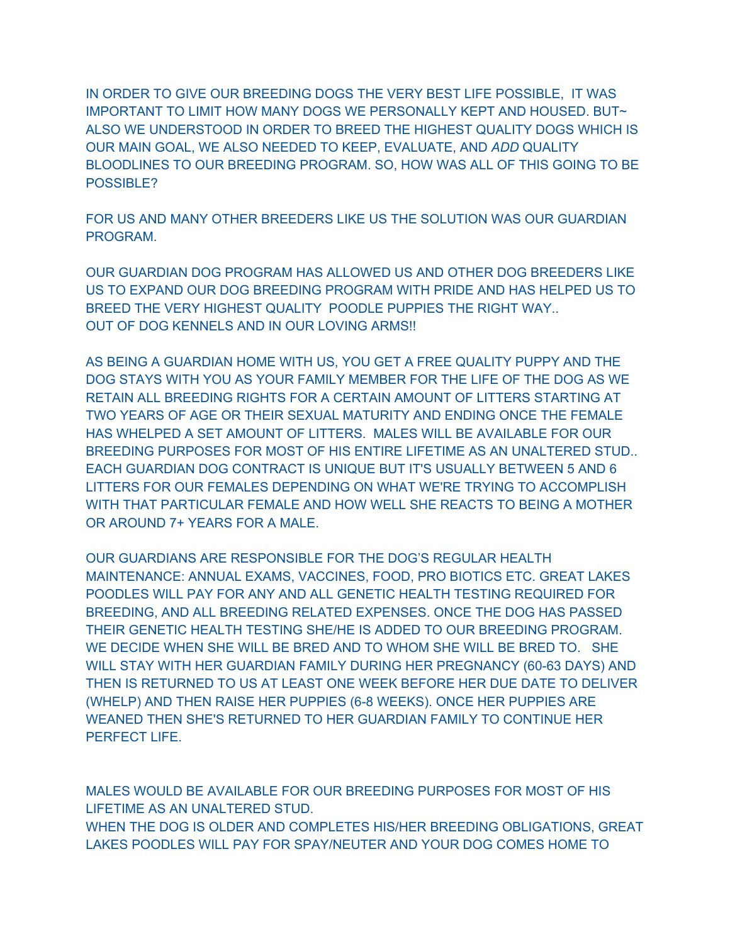IN ORDER TO GIVE OUR BREEDING DOGS THE VERY BEST LIFE POSSIBLE, IT WAS IMPORTANT TO LIMIT HOW MANY DOGS WE PERSONALLY KEPT AND HOUSED. BUT~ ALSO WE UNDERSTOOD IN ORDER TO BREED THE HIGHEST QUALITY DOGS WHICH IS OUR MAIN GOAL, WE ALSO NEEDED TO KEEP, EVALUATE, AND *ADD* QUALITY BLOODLINES TO OUR BREEDING PROGRAM. SO, HOW WAS ALL OF THIS GOING TO BE POSSIBLE?

FOR US AND MANY OTHER BREEDERS LIKE US THE SOLUTION WAS OUR GUARDIAN PROGRAM.

OUR GUARDIAN DOG PROGRAM HAS ALLOWED US AND OTHER DOG BREEDERS LIKE US TO EXPAND OUR DOG BREEDING PROGRAM WITH PRIDE AND HAS HELPED US TO BREED THE VERY HIGHEST QUALITY POODLE PUPPIES THE RIGHT WAY.. OUT OF DOG KENNELS AND IN OUR LOVING ARMS!!

AS BEING A GUARDIAN HOME WITH US, YOU GET A FREE QUALITY PUPPY AND THE DOG STAYS WITH YOU AS YOUR FAMILY MEMBER FOR THE LIFE OF THE DOG AS WE RETAIN ALL BREEDING RIGHTS FOR A CERTAIN AMOUNT OF LITTERS STARTING AT TWO YEARS OF AGE OR THEIR SEXUAL MATURITY AND ENDING ONCE THE FEMALE HAS WHELPED A SET AMOUNT OF LITTERS. MALES WILL BE AVAILABLE FOR OUR BREEDING PURPOSES FOR MOST OF HIS ENTIRE LIFETIME AS AN UNALTERED STUD.. EACH GUARDIAN DOG CONTRACT IS UNIQUE BUT IT'S USUALLY BETWEEN 5 AND 6 LITTERS FOR OUR FEMALES DEPENDING ON WHAT WE'RE TRYING TO ACCOMPLISH WITH THAT PARTICULAR FEMALE AND HOW WELL SHE REACTS TO BEING A MOTHER OR AROUND 7+ YEARS FOR A MALE.

OUR GUARDIANS ARE RESPONSIBLE FOR THE DOG'S REGULAR HEALTH MAINTENANCE: ANNUAL EXAMS, VACCINES, FOOD, PRO BIOTICS ETC. GREAT LAKES POODLES WILL PAY FOR ANY AND ALL GENETIC HEALTH TESTING REQUIRED FOR BREEDING, AND ALL BREEDING RELATED EXPENSES. ONCE THE DOG HAS PASSED THEIR GENETIC HEALTH TESTING SHE/HE IS ADDED TO OUR BREEDING PROGRAM. WE DECIDE WHEN SHE WILL BE BRED AND TO WHOM SHE WILL BE BRED TO. SHE WILL STAY WITH HER GUARDIAN FAMILY DURING HER PREGNANCY (60-63 DAYS) AND THEN IS RETURNED TO US AT LEAST ONE WEEK BEFORE HER DUE DATE TO DELIVER (WHELP) AND THEN RAISE HER PUPPIES (6-8 WEEKS). ONCE HER PUPPIES ARE WEANED THEN SHE'S RETURNED TO HER GUARDIAN FAMILY TO CONTINUE HER PERFECT LIFE.

MALES WOULD BE AVAILABLE FOR OUR BREEDING PURPOSES FOR MOST OF HIS LIFETIME AS AN UNALTERED STUD. WHEN THE DOG IS OLDER AND COMPLETES HIS/HER BREEDING OBLIGATIONS, GREAT LAKES POODLES WILL PAY FOR SPAY/NEUTER AND YOUR DOG COMES HOME TO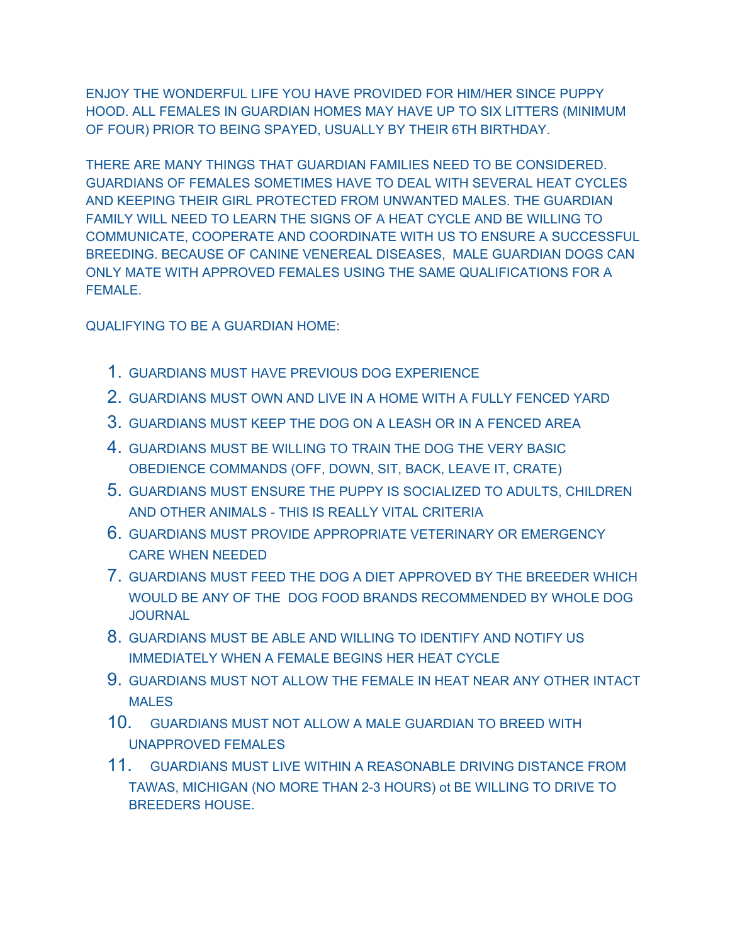ENJOY THE WONDERFUL LIFE YOU HAVE PROVIDED FOR HIM/HER SINCE PUPPY HOOD. ALL FEMALES IN GUARDIAN HOMES MAY HAVE UP TO SIX LITTERS (MINIMUM OF FOUR) PRIOR TO BEING SPAYED, USUALLY BY THEIR 6TH BIRTHDAY.

THERE ARE MANY THINGS THAT GUARDIAN FAMILIES NEED TO BE CONSIDERED. GUARDIANS OF FEMALES SOMETIMES HAVE TO DEAL WITH SEVERAL HEAT CYCLES AND KEEPING THEIR GIRL PROTECTED FROM UNWANTED MALES. THE GUARDIAN FAMILY WILL NEED TO LEARN THE SIGNS OF A HEAT CYCLE AND BE WILLING TO COMMUNICATE, COOPERATE AND COORDINATE WITH US TO ENSURE A SUCCESSFUL BREEDING. BECAUSE OF CANINE VENEREAL DISEASES, MALE GUARDIAN DOGS CAN ONLY MATE WITH APPROVED FEMALES USING THE SAME QUALIFICATIONS FOR A FEMALE.

QUALIFYING TO BE A GUARDIAN HOME:

- 1. GUARDIANS MUST HAVE PREVIOUS DOG EXPERIENCE
- 2. GUARDIANS MUST OWN AND LIVE IN A HOME WITH A FULLY FENCED YARD
- 3. GUARDIANS MUST KEEP THE DOG ON A LEASH OR IN A FENCED AREA
- 4. GUARDIANS MUST BE WILLING TO TRAIN THE DOG THE VERY BASIC OBEDIENCE COMMANDS (OFF, DOWN, SIT, BACK, LEAVE IT, CRATE)
- 5. GUARDIANS MUST ENSURE THE PUPPY IS SOCIALIZED TO ADULTS, CHILDREN AND OTHER ANIMALS - THIS IS REALLY VITAL CRITERIA
- 6. GUARDIANS MUST PROVIDE APPROPRIATE VETERINARY OR EMERGENCY CARE WHEN NEEDED
- 7. GUARDIANS MUST FEED THE DOG A DIET APPROVED BY THE BREEDER WHICH WOULD BE ANY OF THE DOG FOOD BRANDS RECOMMENDED BY WHOLE DOG **JOURNAL**
- 8. GUARDIANS MUST BE ABLE AND WILLING TO IDENTIFY AND NOTIFY US IMMEDIATELY WHEN A FEMALE BEGINS HER HEAT CYCLE
- 9. GUARDIANS MUST NOT ALLOW THE FEMALE IN HEAT NEAR ANY OTHER INTACT MALES
- 10. GUARDIANS MUST NOT ALLOW A MALE GUARDIAN TO BREED WITH UNAPPROVED FEMALES
- 11. GUARDIANS MUST LIVE WITHIN A REASONABLE DRIVING DISTANCE FROM TAWAS, MICHIGAN (NO MORE THAN 2-3 HOURS) ot BE WILLING TO DRIVE TO BREEDERS HOUSE.